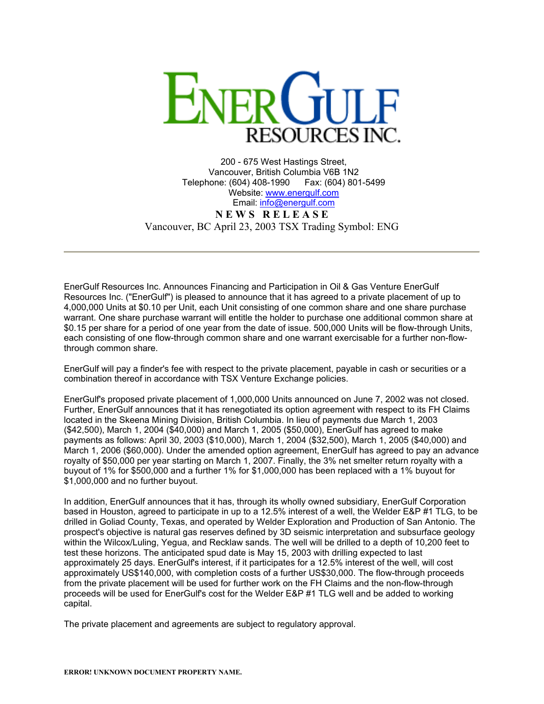

200 - 675 West Hastings Street, Vancouver, British Columbia V6B 1N2 Telephone: (604) 408-1990 Fax: (604) 801-5499 Website: [www.energulf.com](http://www.energulf.com/) Email: [info@energulf.com](mailto:info@energulf.com) **N E W S R E L E A S E** Vancouver, BC April 23, 2003 TSX Trading Symbol: ENG

EnerGulf Resources Inc. Announces Financing and Participation in Oil & Gas Venture EnerGulf Resources Inc. ("EnerGulf") is pleased to announce that it has agreed to a private placement of up to 4,000,000 Units at \$0.10 per Unit, each Unit consisting of one common share and one share purchase warrant. One share purchase warrant will entitle the holder to purchase one additional common share at \$0.15 per share for a period of one year from the date of issue. 500,000 Units will be flow-through Units, each consisting of one flow-through common share and one warrant exercisable for a further non-flowthrough common share.

EnerGulf will pay a finder's fee with respect to the private placement, payable in cash or securities or a combination thereof in accordance with TSX Venture Exchange policies.

EnerGulf's proposed private placement of 1,000,000 Units announced on June 7, 2002 was not closed. Further, EnerGulf announces that it has renegotiated its option agreement with respect to its FH Claims located in the Skeena Mining Division, British Columbia. In lieu of payments due March 1, 2003 (\$42,500), March 1, 2004 (\$40,000) and March 1, 2005 (\$50,000), EnerGulf has agreed to make payments as follows: April 30, 2003 (\$10,000), March 1, 2004 (\$32,500), March 1, 2005 (\$40,000) and March 1, 2006 (\$60,000). Under the amended option agreement, EnerGulf has agreed to pay an advance royalty of \$50,000 per year starting on March 1, 2007. Finally, the 3% net smelter return royalty with a buyout of 1% for \$500,000 and a further 1% for \$1,000,000 has been replaced with a 1% buyout for \$1,000,000 and no further buyout.

In addition, EnerGulf announces that it has, through its wholly owned subsidiary, EnerGulf Corporation based in Houston, agreed to participate in up to a 12.5% interest of a well, the Welder E&P #1 TLG, to be drilled in Goliad County, Texas, and operated by Welder Exploration and Production of San Antonio. The prospect's objective is natural gas reserves defined by 3D seismic interpretation and subsurface geology within the Wilcox/Luling, Yegua, and Recklaw sands. The well will be drilled to a depth of 10,200 feet to test these horizons. The anticipated spud date is May 15, 2003 with drilling expected to last approximately 25 days. EnerGulf's interest, if it participates for a 12.5% interest of the well, will cost approximately US\$140,000, with completion costs of a further US\$30,000. The flow-through proceeds from the private placement will be used for further work on the FH Claims and the non-flow-through proceeds will be used for EnerGulf's cost for the Welder E&P #1 TLG well and be added to working capital.

The private placement and agreements are subject to regulatory approval.